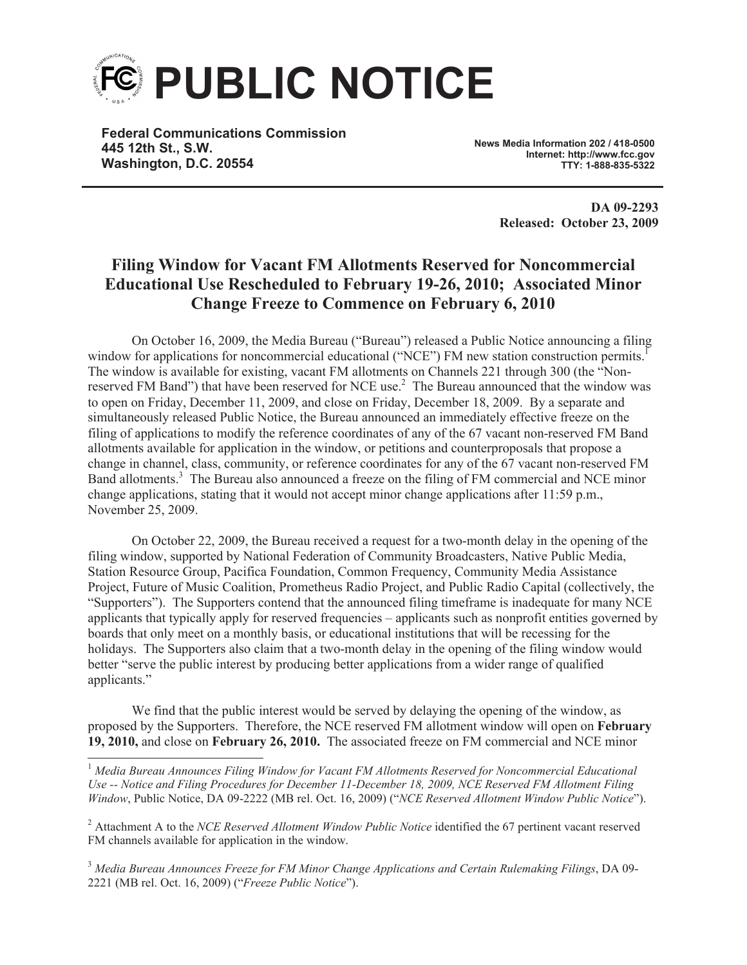

**Federal Communications Commission 445 12th St., S.W. Washington, D.C. 20554**

**News Media Information 202 / 418-0500 Internet: http://www.fcc.gov TTY: 1-888-835-5322**

> **DA 09-2293 Released: October 23, 2009**

## **Filing Window for Vacant FM Allotments Reserved for Noncommercial Educational Use Rescheduled to February 19-26, 2010; Associated Minor Change Freeze to Commence on February 6, 2010**

On October 16, 2009, the Media Bureau ("Bureau") released a Public Notice announcing a filing window for applications for noncommercial educational ("NCE") FM new station construction permits.<sup>1</sup> The window is available for existing, vacant FM allotments on Channels 221 through 300 (the "Nonreserved FM Band") that have been reserved for NCE use.<sup>2</sup> The Bureau announced that the window was to open on Friday, December 11, 2009, and close on Friday, December 18, 2009. By a separate and simultaneously released Public Notice, the Bureau announced an immediately effective freeze on the filing of applications to modify the reference coordinates of any of the 67 vacant non-reserved FM Band allotments available for application in the window, or petitions and counterproposals that propose a change in channel, class, community, or reference coordinates for any of the 67 vacant non-reserved FM Band allotments.<sup>3</sup> The Bureau also announced a freeze on the filing of FM commercial and NCE minor change applications, stating that it would not accept minor change applications after 11:59 p.m., November 25, 2009.

On October 22, 2009, the Bureau received a request for a two-month delay in the opening of the filing window, supported by National Federation of Community Broadcasters, Native Public Media, Station Resource Group, Pacifica Foundation, Common Frequency, Community Media Assistance Project, Future of Music Coalition, Prometheus Radio Project, and Public Radio Capital (collectively, the "Supporters"). The Supporters contend that the announced filing timeframe is inadequate for many NCE applicants that typically apply for reserved frequencies – applicants such as nonprofit entities governed by boards that only meet on a monthly basis, or educational institutions that will be recessing for the holidays. The Supporters also claim that a two-month delay in the opening of the filing window would better "serve the public interest by producing better applications from a wider range of qualified applicants."

We find that the public interest would be served by delaying the opening of the window, as proposed by the Supporters. Therefore, the NCE reserved FM allotment window will open on **February 19, 2010,** and close on **February 26, 2010.** The associated freeze on FM commercial and NCE minor

<sup>3</sup> *Media Bureau Announces Freeze for FM Minor Change Applications and Certain Rulemaking Filings*, DA 09- 2221 (MB rel. Oct. 16, 2009) ("*Freeze Public Notice*").

<sup>1</sup> *Media Bureau Announces Filing Window for Vacant FM Allotments Reserved for Noncommercial Educational Use -- Notice and Filing Procedures for December 11-December 18, 2009, NCE Reserved FM Allotment Filing Window*, Public Notice, DA 09-2222 (MB rel. Oct. 16, 2009) ("*NCE Reserved Allotment Window Public Notice*").

<sup>2</sup> Attachment A to the *NCE Reserved Allotment Window Public Notice* identified the 67 pertinent vacant reserved FM channels available for application in the window.